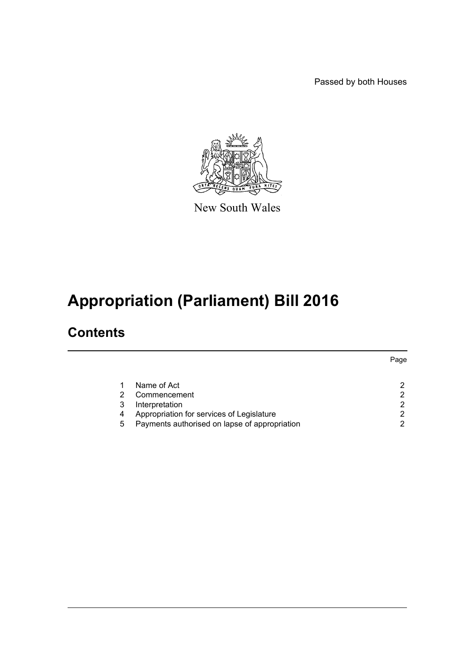Passed by both Houses



New South Wales

# **Appropriation (Parliament) Bill 2016**

### **Contents**

|   |                                               | Page |
|---|-----------------------------------------------|------|
|   | Name of Act                                   |      |
|   | Commencement                                  |      |
|   | Interpretation                                | ⌒    |
| 4 | Appropriation for services of Legislature     |      |
| 5 | Payments authorised on lapse of appropriation |      |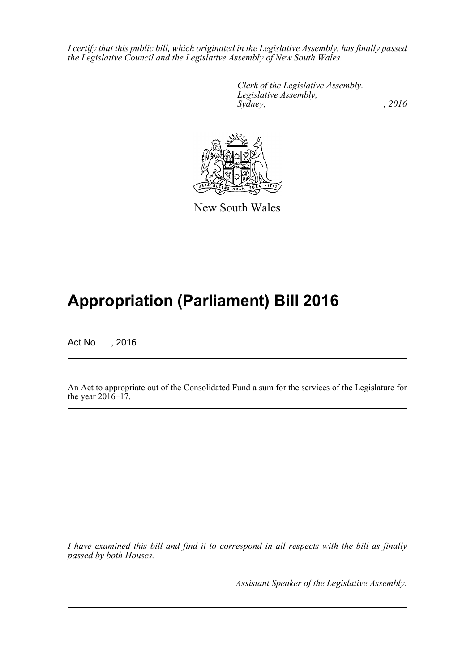*I certify that this public bill, which originated in the Legislative Assembly, has finally passed the Legislative Council and the Legislative Assembly of New South Wales.*

> *Clerk of the Legislative Assembly. Legislative Assembly, Sydney,* , 2016



New South Wales

## **Appropriation (Parliament) Bill 2016**

Act No , 2016

An Act to appropriate out of the Consolidated Fund a sum for the services of the Legislature for the year  $2016-17$ .

*I have examined this bill and find it to correspond in all respects with the bill as finally passed by both Houses.*

*Assistant Speaker of the Legislative Assembly.*